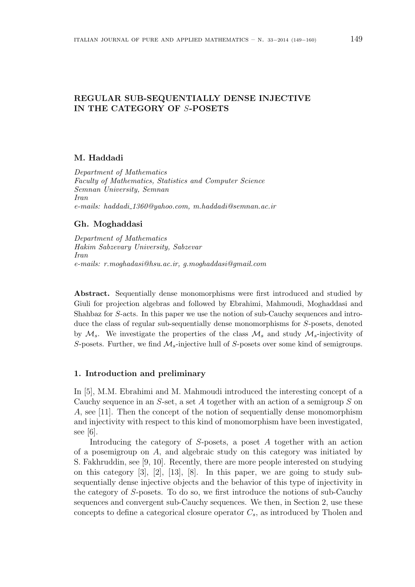# REGULAR SUB-SEQUENTIALLY DENSE INJECTIVE IN THE CATEGORY OF S-POSETS

# M. Haddadi

Department of Mathematics Faculty of Mathematics, Statistics and Computer Science Semnan University, Semnan Iran e-mails: haddadi 1360@yahoo.com, m.haddadi@semnan.ac.ir

# Gh. Moghaddasi

Department of Mathematics Hakim Sabzevary University, Sabzevar Iran e-mails: r.moghadasi@hsu.ac.ir, g.moghaddasi@gmail.com

Abstract. Sequentially dense monomorphisms were first introduced and studied by Giuli for projection algebras and followed by Ebrahimi, Mahmoudi, Moghaddasi and Shahbaz for S-acts. In this paper we use the notion of sub-Cauchy sequences and introduce the class of regular sub-sequentially dense monomorphisms for S-posets, denoted by  $\mathcal{M}_s$ . We investigate the properties of the class  $\mathcal{M}_s$  and study  $\mathcal{M}_s$ -injectivity of S-posets. Further, we find  $M_s$ -injective hull of S-posets over some kind of semigroups.

### 1. Introduction and preliminary

In [5], M.M. Ebrahimi and M. Mahmoudi introduced the interesting concept of a Cauchy sequence in an  $S$ -set, a set A together with an action of a semigroup S on A, see [11]. Then the concept of the notion of sequentially dense monomorphism and injectivity with respect to this kind of monomorphism have been investigated, see [6].

Introducing the category of S-posets, a poset A together with an action of a posemigroup on A, and algebraic study on this category was initiated by S. Fakhruddin, see [9, 10]. Recently, there are more people interested on studying on this category [3], [2], [13], [8]. In this paper, we are going to study subsequentially dense injective objects and the behavior of this type of injectivity in the category of S-posets. To do so, we first introduce the notions of sub-Cauchy sequences and convergent sub-Cauchy sequences. We then, in Section 2, use these concepts to define a categorical closure operator  $C_s$ , as introduced by Tholen and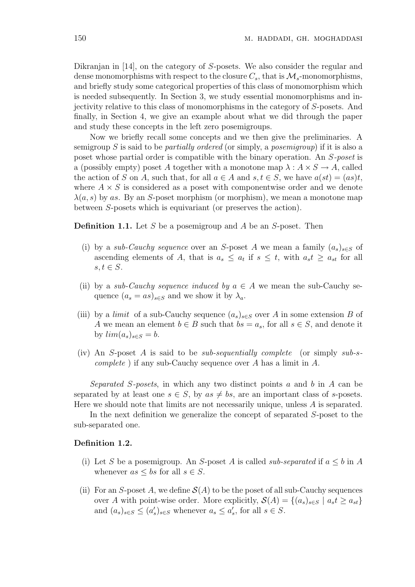Dikranjan in [14], on the category of S-posets. We also consider the regular and dense monomorphisms with respect to the closure  $C_s$ , that is  $\mathcal{M}_s$ -monomorphisms, and briefly study some categorical properties of this class of monomorphism which is needed subsequently. In Section 3, we study essential monomorphisms and injectivity relative to this class of monomorphisms in the category of S-posets. And finally, in Section 4, we give an example about what we did through the paper and study these concepts in the left zero posemigroups.

Now we briefly recall some concepts and we then give the preliminaries. A semigroup S is said to be *partially ordered* (or simply, a *posemigroup*) if it is also a poset whose partial order is compatible with the binary operation. An S-poset is a (possibly empty) poset A together with a monotone map  $\lambda : A \times S \to A$ , called the action of S on A, such that, for all  $a \in A$  and  $s, t \in S$ , we have  $a(st) = (as)t$ , where  $A \times S$  is considered as a poset with componentwise order and we denote  $\lambda(a, s)$  by as. By an S-poset morphism (or morphism), we mean a monotone map between S-posets which is equivariant (or preserves the action).

**Definition 1.1.** Let S be a posemigroup and A be an S-poset. Then

- (i) by a sub-Cauchy sequence over an S-poset A we mean a family  $(a_s)_{s\in S}$  of ascending elements of A, that is  $a_s \leq a_t$  if  $s \leq t$ , with  $a_s t \geq a_{st}$  for all  $s, t \in S$ .
- (ii) by a sub-Cauchy sequence induced by  $a \in A$  we mean the sub-Cauchy sequence  $(a_s = as)_{s \in S}$  and we show it by  $\lambda_a$ .
- (iii) by a *limit* of a sub-Cauchy sequence  $(a_s)_{s\in S}$  over A in some extension B of A we mean an element  $b \in B$  such that  $bs = a_s$ , for all  $s \in S$ , and denote it by  $lim(a_s)_{s\in S} = b$ .
- (iv) An S-poset A is said to be *sub-sequentially complete* (or simply  $sub-s$ *complete*) if any sub-Cauchy sequence over A has a limit in  $A$ .

Separated S-posets, in which any two distinct points  $a$  and  $b$  in  $A$  can be separated by at least one  $s \in S$ , by  $as \neq bs$ , are an important class of s-posets. Here we should note that limits are not necessarily unique, unless A is separated.

In the next definition we generalize the concept of separated S-poset to the sub-separated one.

# Definition 1.2.

- (i) Let S be a posemigroup. An S-poset A is called sub-separated if  $a \leq b$  in A whenever  $as \leq bs$  for all  $s \in S$ .
- (ii) For an S-poset A, we define  $\mathcal{S}(A)$  to be the poset of all sub-Cauchy sequences over A with point-wise order. More explicitly,  $\mathcal{S}(A) = \{(a_s)_{s \in S} \mid a_s t \ge a_{st}\}\$ and  $(a_s)_{s\in S} \leq (a'_s)_{s\in S}$  whenever  $a_s \leq a'_s$ , for all  $s \in S$ .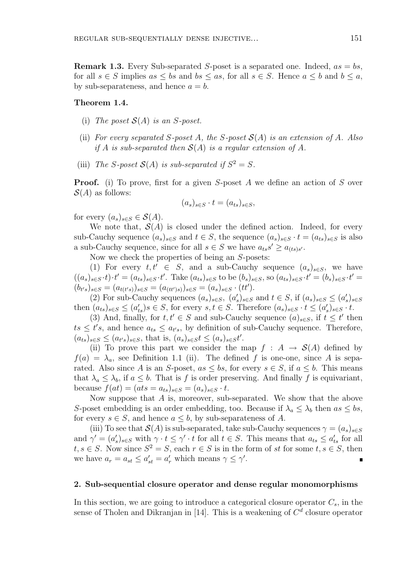**Remark 1.3.** Every Sub-separated S-poset is a separated one. Indeed,  $as = bs$ , for all  $s \in S$  implies  $as \leq bs$  and  $bs \leq as$ , for all  $s \in S$ . Hence  $a \leq b$  and  $b \leq a$ , by sub-separateness, and hence  $a = b$ .

### Theorem 1.4.

- (i) The poset  $S(A)$  is an S-poset.
- (ii) For every separated S-poset A, the S-poset  $\mathcal{S}(A)$  is an extension of A. Also if A is sub-separated then  $S(A)$  is a regular extension of A.
- (iii) The S-poset  $\mathcal{S}(A)$  is sub-separated if  $S^2 = S$ .

**Proof.** (i) To prove, first for a given S-poset A we define an action of S over  $S(A)$  as follows:

$$
(a_s)_{s \in S} \cdot t = (a_{ts})_{s \in S},
$$

for every  $(a_s)_{s\in S}\in \mathcal{S}(A)$ .

We note that,  $\mathcal{S}(A)$  is closed under the defined action. Indeed, for every sub-Cauchy sequence  $(a_s)_{s\in S}$  and  $t\in S$ , the sequence  $(a_s)_{s\in S} \cdot t = (a_{ts})_{s\in S}$  is also a sub-Cauchy sequence, since for all  $s \in S$  we have  $a_{ts} s' \ge a_{(ts)s'}$ .

Now we check the properties of being an S-posets:

(1) For every  $t, t' \in S$ , and a sub-Cauchy sequence  $(a_s)_{s \in S}$ , we have  $((a_s)_{s\in S} \cdot t) \cdot t' = (a_{ts})_{s\in S} \cdot t'.$  Take  $(a_{ts})_{s\in S}$  to be  $(b_s)_{s\in S}$ , so  $(a_{ts})_{s\in S} \cdot t' = (b_s)_{s\in S} \cdot t' =$  $(b_{t's})_{s \in S} = (a_{t(t's)})_{s \in S} = (a_{(tt')s)})_{s \in S} = (a_s)_{s \in S} \cdot (tt')$ .

(2) For sub-Cauchy sequences  $(a_s)_{s \in S}$ ,  $(a'_s)_{s \in S}$  and  $t \in S$ , if  $(a_s)_{s \in S} \leq (a'_s)_{s \in S}$ then  $(a_{ts})_{s\in S} \leq (a_{ts}')s \in S$ , for every  $s, t \in S$ . Therefore  $(a_s)_{s\in S} \cdot t \leq (a_s')_{s\in S} \cdot t$ .

(3) And, finally, for  $t, t' \in S$  and sub-Cauchy sequence  $(a)_{s \in S}$ , if  $t \leq t'$  then  $ts \leq t's$ , and hence  $a_{ts} \leq a_{t's}$ , by definition of sub-Cauchy sequence. Therefore,  $(a_{ts})_{s \in S} \leq (a_{t's})_{s \in S}$ , that is,  $(a_s)_{s \in S} t \leq (a_s)_{s \in S} t'$ .

(ii) To prove this part we consider the map  $f : A \rightarrow S(A)$  defined by  $f(a) = \lambda_a$ , see Definition 1.1 (ii). The defined f is one-one, since A is separated. Also since A is an S-poset,  $as \leq bs$ , for every  $s \in S$ , if  $a \leq b$ . This means that  $\lambda_a \leq \lambda_b$ , if  $a \leq b$ . That is f is order preserving. And finally f is equivariant, because  $f(at) = (ats = a_{ts})_{s \in S} = (a_s)_{s \in S} \cdot t$ .

Now suppose that A is, moreover, sub-separated. We show that the above S-poset embedding is an order embedding, too. Because if  $\lambda_a \leq \lambda_b$  then  $as \leq bs$ , for every  $s \in S$ , and hence  $a \leq b$ , by sub-separateness of A.

(iii) To see that  $\mathcal{S}(A)$  is sub-separated, take sub-Cauchy sequences  $\gamma = (a_s)_{s \in S}$ and  $\gamma' = (a'_s)_{s \in S}$  with  $\gamma \cdot t \leq \gamma' \cdot t$  for all  $t \in S$ . This means that  $a_{ts} \leq a'_{ts}$  for all  $t, s \in S$ . Now since  $S^2 = S$ , each  $r \in S$  is in the form of st for some  $t, s \in S$ , then we have  $a_r = a_{st} \le a'_{st} = a'_r$  which means  $\gamma \le \gamma'$ .

#### 2. Sub-sequential closure operator and dense regular monomorphisms

In this section, we are going to introduce a categorical closure operator  $C_s$ , in the sense of Tholen and Dikranjan in [14]. This is a weakening of  $C<sup>d</sup>$  closure operator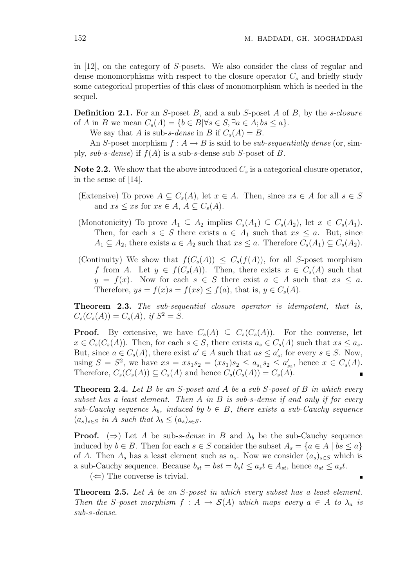in [12], on the category of S-posets. We also consider the class of regular and dense monomorphisms with respect to the closure operator  $C_s$  and briefly study some categorical properties of this class of monomorphism which is needed in the sequel.

**Definition 2.1.** For an S-poset B, and a sub S-poset A of B, by the s-closure of A in B we mean  $C_s(A) = \{b \in B | \forall s \in S, \exists a \in A; bs \leq a\}.$ 

We say that A is sub-s-dense in B if  $C_s(A) = B$ .

An S-poset morphism  $f : A \to B$  is said to be *sub-sequentially dense* (or, simply, sub-s-dense) if  $f(A)$  is a sub-s-dense sub S-poset of B.

**Note 2.2.** We show that the above introduced  $C_s$  is a categorical closure operator, in the sense of [14].

- (Extensive) To prove  $A \subseteq C_s(A)$ , let  $x \in A$ . Then, since  $xs \in A$  for all  $s \in S$ and  $xs \leq xs$  for  $xs \in A$ ,  $A \subseteq C_s(A)$ .
- (Monotonicity) To prove  $A_1 \subseteq A_2$  implies  $C_s(A_1) \subseteq C_s(A_2)$ , let  $x \in C_s(A_1)$ . Then, for each  $s \in S$  there exists  $a \in A_1$  such that  $xs \leq a$ . But, since  $A_1 \subseteq A_2$ , there exists  $a \in A_2$  such that  $xs \leq a$ . Therefore  $C_s(A_1) \subseteq C_s(A_2)$ .
- (Continuity) We show that  $f(C_s(A)) \leq C_s(f(A))$ , for all S-poset morphism f from A. Let  $y \in f(C_s(A))$ . Then, there exists  $x \in C_s(A)$  such that  $y = f(x)$ . Now for each  $s \in S$  there exist  $a \in A$  such that  $xs \leq a$ . Therefore,  $ys = f(x)s = f(xs) \le f(a)$ , that is,  $y \in C_s(A)$ .

Theorem 2.3. The sub-sequential closure operator is idempotent, that is,  $C_s(C_s(A)) = C_s(A), \text{ if } S^2 = S.$ 

**Proof.** By extensive, we have  $C_s(A) \subseteq C_s(C_s(A))$ . For the converse, let  $x \in C_s(C_s(A))$ . Then, for each  $s \in S$ , there exists  $a_s \in C_s(A)$  such that  $xs \leq a_s$ . But, since  $a \in C_s(A)$ , there exist  $a' \in A$  such that  $as \leq a'_s$ , for every  $s \in S$ . Now, using  $S = S^2$ , we have  $xs = xs_1s_2 = (xs_1)s_2 \le a_{s_1}s_2 \le a'_{s_2}$ , hence  $x \in C_s(A)$ . Therefore,  $C_s(C_s(A)) \subseteq C_s(A)$  and hence  $C_s(C_s(A)) = C_s(A)$ .

**Theorem 2.4.** Let B be an S-poset and A be a sub S-poset of B in which every subset has a least element. Then  $A$  in  $B$  is sub-s-dense if and only if for every sub-Cauchy sequence  $\lambda_b$ , induced by  $b \in B$ , there exists a sub-Cauchy sequence  $(a_s)_{s\in S}$  in A such that  $\lambda_b \leq (a_s)_{s\in S}$ .

**Proof.** ( $\Rightarrow$ ) Let A be sub-s-dense in B and  $\lambda_b$  be the sub-Cauchy sequence induced by  $b \in B$ . Then for each  $s \in S$  consider the subset  $A_s = \{a \in A \mid bs \leq a\}$ of A. Then  $A_s$  has a least element such as  $a_s$ . Now we consider  $(a_s)_{s\in S}$  which is a sub-Cauchy sequence. Because  $b_{st} = bst = b_st \leq a_st \in A_{st}$ , hence  $a_{st} \leq a_st$ .

 $(\Leftarrow)$  The converse is trivial.

**Theorem 2.5.** Let A be an S-poset in which every subset has a least element. Then the S-poset morphism  $f : A \to S(A)$  which maps every  $a \in A$  to  $\lambda_a$  is sub-s-dense.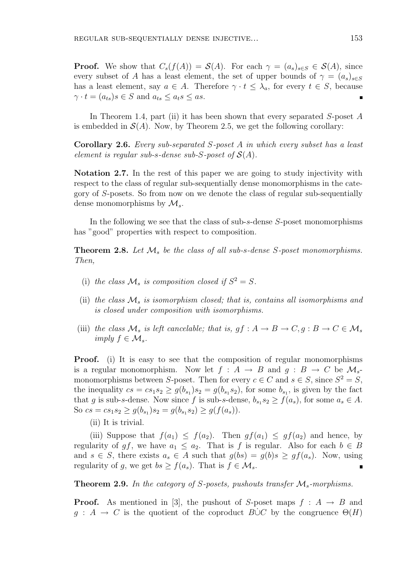**Proof.** We show that  $C_s(f(A)) = \mathcal{S}(A)$ . For each  $\gamma = (a_s)_{s \in \mathcal{S}} \in \mathcal{S}(A)$ , since every subset of A has a least element, the set of upper bounds of  $\gamma = (a_s)_{s \in S}$ has a least element, say  $a \in A$ . Therefore  $\gamma \cdot t \leq \lambda_a$ , for every  $t \in S$ , because  $\gamma \cdot t = (a_{ts})s \in S$  and  $a_{ts} \le a_ts \le as$ .

In Theorem 1.4, part (ii) it has been shown that every separated S-poset A is embedded in  $\mathcal{S}(A)$ . Now, by Theorem 2.5, we get the following corollary:

Corollary 2.6. Every sub-separated S-poset A in which every subset has a least element is regular sub-s-dense sub-S-poset of  $\mathcal{S}(A)$ .

Notation 2.7. In the rest of this paper we are going to study injectivity with respect to the class of regular sub-sequentially dense monomorphisms in the category of S-posets. So from now on we denote the class of regular sub-sequentially dense monomorphisms by  $\mathcal{M}_s$ .

In the following we see that the class of sub-s-dense S-poset monomorphisms has "good" properties with respect to composition.

**Theorem 2.8.** Let  $\mathcal{M}_s$  be the class of all sub-s-dense S-poset monomorphisms. Then,

- (i) the class  $\mathcal{M}_s$  is composition closed if  $S^2 = S$ .
- (ii) the class  $\mathcal{M}_s$  is isomorphism closed; that is, contains all isomorphisms and is closed under composition with isomorphisms.
- (iii) the class  $\mathcal{M}_s$  is left cancelable; that is,  $gf : A \to B \to C$ ,  $g : B \to C \in \mathcal{M}_s$ imply  $f \in \mathcal{M}_s$ .

**Proof.** (i) It is easy to see that the composition of regular monomorphisms is a regular monomorphism. Now let  $f : A \rightarrow B$  and  $q : B \rightarrow C$  be  $\mathcal{M}_{s}$ monomorphisms between S-poset. Then for every  $c \in C$  and  $s \in S$ , since  $S^2 = S$ , the inequality  $cs = cs_1s_2 \ge g(b_{s_1})s_2 = g(b_{s_1}s_2)$ , for some  $b_{s_1}$ , is given by the fact that g is sub-s-dense. Now since f is sub-s-dense,  $b_{s_1}s_2 \ge f(a_s)$ , for some  $a_s \in A$ . So  $cs = cs_1s_2 \ge g(b_{s_1})s_2 = g(b_{s_1}s_2) \ge g(f(a_s)).$ 

(ii) It is trivial.

(iii) Suppose that  $f(a_1) \leq f(a_2)$ . Then  $gf(a_1) \leq gf(a_2)$  and hence, by regularity of gf, we have  $a_1 \le a_2$ . That is f is regular. Also for each  $b \in B$ and  $s \in S$ , there exists  $a_s \in A$  such that  $g(bs) = g(b)s \ge gf(a_s)$ . Now, using regularity of g, we get  $bs \ge f(a_s)$ . That is  $f \in \mathcal{M}_s$ .  $\blacksquare$ 

**Theorem 2.9.** In the category of S-posets, pushouts transfer  $\mathcal{M}_s$ -morphisms.

**Proof.** As mentioned in [3], the pushout of S-poset maps  $f : A \rightarrow B$  and  $q : A \to C$  is the quotient of the coproduct  $B\cup C$  by the congruence  $\Theta(H)$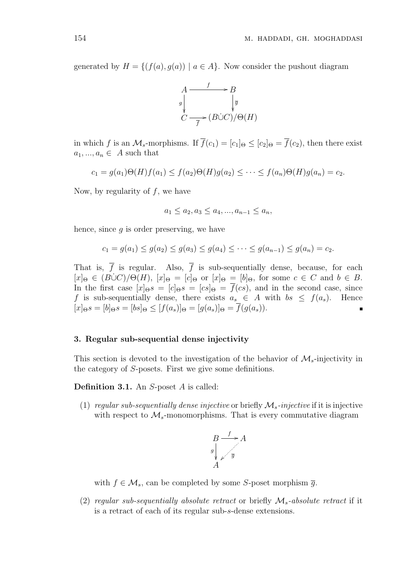generated by  $H = \{(f(a), g(a)) \mid a \in A\}$ . Now consider the pushout diagram



in which f is an  $\mathcal{M}_s$ -morphisms. If  $\overline{f}(c_1) = [c_1]_{\Theta} \leq [c_2]_{\Theta} = \overline{f}(c_2)$ , then there exist  $a_1, ..., a_n \in A$  such that

$$
c_1 = g(a_1)\Theta(H)f(a_1) \le f(a_2)\Theta(H)g(a_2) \le \cdots \le f(a_n)\Theta(H)g(a_n) = c_2.
$$

Now, by regularity of  $f$ , we have

$$
a_1 \le a_2, a_3 \le a_4, ..., a_{n-1} \le a_n,
$$

hence, since  $q$  is order preserving, we have

$$
c_1 = g(a_1) \le g(a_2) \le g(a_3) \le g(a_4) \le \cdots \le g(a_{n-1}) \le g(a_n) = c_2.
$$

That is,  $\overline{f}$  is regular. Also,  $\overline{f}$  is sub-sequentially dense, because, for each  $[x]_{\Theta} \in (B\cup C)/\Theta(H), [x]_{\Theta} = [c]_{\Theta}$  or  $[x]_{\Theta} = [b]_{\Theta}$ , for some  $c \in C$  and  $b \in B$ . In the first case  $[x]_{\Theta} s = [c]_{\Theta} s = [cs]_{\Theta} = \overline{f}(cs)$ , and in the second case, since f is sub-sequentially dense, there exists  $a_s \in A$  with  $bs \leq f(a_s)$ . Hence  $[x]_{\Theta} s = [b]_{\Theta} s = [bs]_{\Theta} \leq [f(a_s)]_{\Theta} = [g(a_s)]_{\Theta} = \overline{f}(g(a_s)).$  $\blacksquare$ 

# 3. Regular sub-sequential dense injectivity

This section is devoted to the investigation of the behavior of  $\mathcal{M}_s$ -injectivity in the category of S-posets. First we give some definitions.

Definition 3.1. An S-poset A is called:

(1) regular sub-sequentially dense injective or briefly  $\mathcal{M}_s$ -injective if it is injective with respect to  $\mathcal{M}_s$ -monomorphisms. That is every commutative diagram



with  $f \in \mathcal{M}_s$ , can be completed by some S-poset morphism  $\overline{g}$ .

(2) regular sub-sequentially absolute retract or briefly  $\mathcal{M}_s$ -absolute retract if it is a retract of each of its regular sub-s-dense extensions.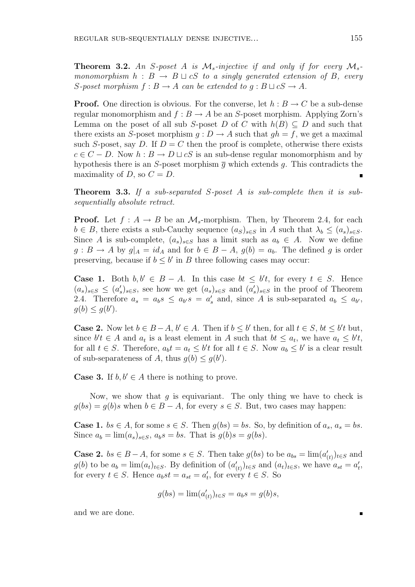**Theorem 3.2.** An S-poset A is  $M_s$ -injective if and only if for every  $M_s$ monomorphism  $h : B \to B \sqcup cS$  to a singly generated extension of B, every S-poset morphism  $f : B \to A$  can be extended to  $g : B \sqcup cS \to A$ .

**Proof.** One direction is obvious. For the converse, let  $h : B \to C$  be a sub-dense regular monomorphism and  $f : B \to A$  be an S-poset morphism. Applying Zorn's Lemma on the poset of all sub S-poset D of C with  $h(B) \subseteq D$  and such that there exists an S-poset morphism  $q: D \to A$  such that  $qh = f$ , we get a maximal such S-poset, say D. If  $D = C$  then the proof is complete, otherwise there exists  $c \in C - D$ . Now  $h : B \to D \sqcup cS$  is an sub-dense regular monomorphism and by hypothesis there is an S-poset morphism  $\bar{g}$  which extends g. This contradicts the maximality of D, so  $C = D$ .

Theorem 3.3. If a sub-separated S-poset A is sub-complete then it is subsequentially absolute retract.

**Proof.** Let  $f : A \to B$  be an  $\mathcal{M}_s$ -morphism. Then, by Theorem 2.4, for each  $b \in B$ , there exists a sub-Cauchy sequence  $(a_S)_{s \in S}$  in A such that  $\lambda_b \leq (a_s)_{s \in S}$ . Since A is sub-complete,  $(a_s)_{s \in S}$  has a limit such as  $a_b \in A$ . Now we define  $g: B \to A$  by  $g|_A = id_A$  and for  $b \in B - A$ ,  $g(b) = a_b$ . The defined g is order preserving, because if  $b \leq b'$  in B three following cases may occur:

**Case 1.** Both  $b, b' \in B - A$ . In this case  $bt \leq b't$ , for every  $t \in S$ . Hence  $(a_s)_{s\in\mathcal{S}} \leq (a'_s)_{s\in\mathcal{S}}$ , see how we get  $(a_s)_{s\in\mathcal{S}}$  and  $(a'_s)_{s\in\mathcal{S}}$  in the proof of Theorem 2.4. Therefore  $a_s = a_b s \le a_{b'} s = a'_s$  and, since A is sub-separated  $a_b \le a_{b'}$ ,  $g(b) \leq g(b')$ .

**Case 2.** Now let  $b \in B-A$ ,  $b' \in A$ . Then if  $b \leq b'$  then, for all  $t \in S$ ,  $bt \leq b't$  but, since  $b't \in A$  and  $a_t$  is a least element in A such that  $bt \leq a_t$ , we have  $a_t \leq b't$ , for all  $t \in S$ . Therefore,  $a_b t = a_t \leq b't$  for all  $t \in S$ . Now  $a_b \leq b'$  is a clear result of sub-separateness of A, thus  $g(b) \leq g(b')$ .

**Case 3.** If  $b, b' \in A$  there is nothing to prove.

Now, we show that  $q$  is equivariant. The only thing we have to check is  $g(bs) = g(b)s$  when  $b \in B - A$ , for every  $s \in S$ . But, two cases may happen:

**Case 1.**  $bs \in A$ , for some  $s \in S$ . Then  $g(bs) = bs$ . So, by definition of  $a_s$ ,  $a_s = bs$ . Since  $a_b = \lim_{s \to s} (a_s)_{s \in S}$ ,  $a_b s = bs$ . That is  $g(b)s = g(bs)$ .

**Case 2.**  $bs \in B - A$ , for some  $s \in S$ . Then take  $g(bs)$  to be  $a_{bs} = \lim_{(a(t)) \to \in S} a_{bs}$  $g(b)$  to be  $a_b = \lim_{t \to \infty} (a_t)_{t \in S}$ . By definition of  $(a'_{(t)})_{t \in S}$  and  $(a_t)_{t \in S}$ , we have  $a_{st} = a'_t$ , for every  $t \in S$ . Hence  $a_b st = a_{st} = a'_t$ , for every  $t \in S$ . So

$$
g(bs) = \lim_{(d'_{(t)})_{t \in S} = a_b s = g(b)s,
$$

and we are done.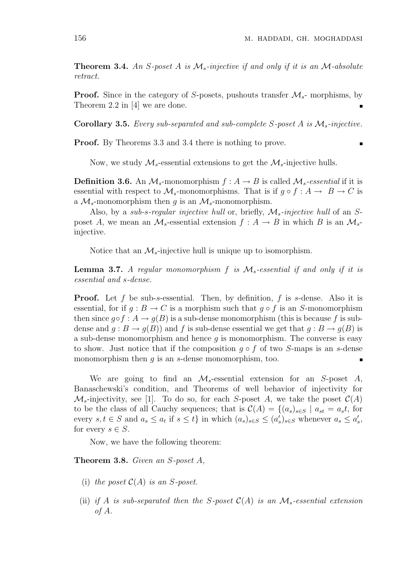**Theorem 3.4.** An S-poset A is  $M_s$ -injective if and only if it is an M-absolute retract.

**Proof.** Since in the category of S-posets, pushouts transfer  $\mathcal{M}_s$ - morphisms, by Theorem 2.2 in [4] we are done.

**Corollary 3.5.** Every sub-separated and sub-complete S-poset A is  $M_s$ -injective.

Proof. By Theorems 3.3 and 3.4 there is nothing to prove.

Now, we study  $\mathcal{M}_s$ -essential extensions to get the  $\mathcal{M}_s$ -injective hulls.

**Definition 3.6.** An  $M_s$ -monomorphism  $f : A \rightarrow B$  is called  $M_s$ -essential if it is essential with respect to  $\mathcal{M}_s$ -monomorphisms. That is if  $g \circ f : A \to B \to C$  is a  $\mathcal{M}_s$ -monomorphism then g is an  $\mathcal{M}_s$ -monomorphism.

Also, by a sub-s-regular injective hull or, briefly,  $\mathcal{M}_s$ -injective hull of an Sposet A, we mean an  $\mathcal{M}_s$ -essential extension  $f : A \to B$  in which B is an  $\mathcal{M}_s$ injective.

Notice that an  $\mathcal{M}_s$ -injective hull is unique up to isomorphism.

**Lemma 3.7.** A regular monomorphism f is  $\mathcal{M}_s$ -essential if and only if it is essential and s-dense.

**Proof.** Let f be sub-s-essential. Then, by definition, f is s-dense. Also it is essential, for if  $g : B \to C$  is a morphism such that  $g \circ f$  is an S-monomorphism then since  $q \circ f : A \to q(B)$  is a sub-dense monomorphism (this is because f is subdense and  $g : B \to g(B)$  and f is sub-dense essential we get that  $g : B \to g(B)$  is a sub-dense monomorphism and hence  $q$  is monomorphism. The converse is easy to show. Just notice that if the composition  $g \circ f$  of two S-maps is an s-dense monomorphism then  $q$  is an  $s$ -dense monomorphism, too.

We are going to find an  $\mathcal{M}_s$ -essential extension for an S-poset A, Banaschewski's condition, and Theorems of well behavior of injectivity for  $\mathcal{M}_s$ -injectivity, see [1]. To do so, for each S-poset A, we take the poset  $\mathcal{C}(A)$ to be the class of all Cauchy sequences; that is  $\mathcal{C}(A) = \{(a_s)_{s \in S} \mid a_{st} = a_s t, \text{ for }$ every  $s, t \in S$  and  $a_s \le a_t$  if  $s \le t$  in which  $(a_s)_{s \in S} \le (a'_s)_{s \in S}$  whenever  $a_s \le a'_s$ , for every  $s \in S$ .

Now, we have the following theorem:

Theorem 3.8. Given an S-poset A,

- (i) the poset  $C(A)$  is an S-poset.
- (ii) if A is sub-separated then the S-poset  $C(A)$  is an  $\mathcal{M}_s$ -essential extension of A.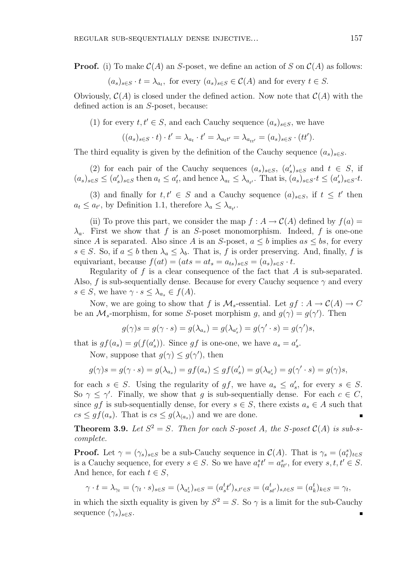**Proof.** (i) To make  $C(A)$  an S-poset, we define an action of S on  $C(A)$  as follows:

$$
(a_s)_{s \in S} \cdot t = \lambda_{a_t}
$$
, for every  $(a_s)_{s \in S} \in C(A)$  and for every  $t \in S$ .

Obviously,  $\mathcal{C}(A)$  is closed under the defined action. Now note that  $\mathcal{C}(A)$  with the defined action is an S-poset, because:

(1) for every  $t, t' \in S$ , and each Cauchy sequence  $(a_s)_{s \in S}$ , we have

$$
((a_s)_{s\in S}\cdot t)\cdot t'=\lambda_{a_t}\cdot t'=\lambda_{a_t t'}=\lambda_{a_{tt'}}=(a_s)_{s\in S}\cdot (tt').
$$

The third equality is given by the definition of the Cauchy sequence  $(a_s)_{s\in S}$ .

(2) for each pair of the Cauchy sequences  $(a_s)_{s\in S}$ ,  $(a'_s)_{s\in S}$  and  $t \in S$ , if  $(a_s)_{s\in S} \leq (a'_s)_{s\in S}$  then  $a_t \leq a'_t$ , and hence  $\lambda_{a_t} \leq \lambda_{a_{t'}}$ . That is,  $(a_s)_{s\in S} \cdot t \leq (a'_s)_{s\in S} \cdot t$ .

(3) and finally for  $t, t' \in S$  and a Cauchy sequence  $(a)_{s \in S}$ , if  $t \leq t'$  then  $a_t \le a_{t'}$ , by Definition 1.1, therefore  $\lambda_a \le \lambda_{a_{t'}}$ .

(ii) To prove this part, we consider the map  $f : A \to C(A)$  defined by  $f(a) =$  $\lambda_a$ . First we show that f is an S-poset monomorphism. Indeed, f is one-one since A is separated. Also since A is an S-poset,  $a \leq b$  implies  $as \leq bs$ , for every  $s \in S$ . So, if  $a \leq b$  then  $\lambda_a \leq \lambda_b$ . That is, f is order preserving. And, finally, f is equivariant, because  $f(at) = (ats = at_s = a_{ts})_{s \in S} = (a_s)_{s \in S} \cdot t$ .

Regularity of  $f$  is a clear consequence of the fact that  $A$  is sub-separated. Also, f is sub-sequentially dense. Because for every Cauchy sequence  $\gamma$  and every  $s \in S$ , we have  $\gamma \cdot s \leq \lambda_{a_s} \in f(A)$ .

Now, we are going to show that f is  $\mathcal{M}_s$ -essential. Let  $gf: A \to \mathcal{C}(A) \to C$ be an  $\mathcal{M}_s$ -morphism, for some S-poset morphism g, and  $g(\gamma) = g(\gamma')$ . Then

$$
g(\gamma)s = g(\gamma \cdot s) = g(\lambda_{a_s}) = g(\lambda_{a'_s}) = g(\gamma' \cdot s) = g(\gamma')s,
$$

that is  $gf(a_s) = g(f(a'_s))$ . Since gf is one-one, we have  $a_s = a'_s$ .

Now, suppose that  $g(\gamma) \leq g(\gamma')$ , then

$$
g(\gamma)s = g(\gamma \cdot s) = g(\lambda_{a_s}) = gf(a_s) \le gf(a'_s) = g(\lambda_{a'_s}) = g(\gamma' \cdot s) = g(\gamma)s,
$$

for each  $s \in S$ . Using the regularity of  $gf$ , we have  $a_s \le a'_s$ , for every  $s \in S$ . So  $\gamma \leq \gamma'$ . Finally, we show that g is sub-sequentially dense. For each  $c \in C$ , since gf is sub-sequentially dense, for every  $s \in S$ , there exists  $a_s \in A$  such that  $cs \leq gf(a_s)$ . That is  $cs \leq g(\lambda_{(a_s)})$  and we are done.

**Theorem 3.9.** Let  $S^2 = S$ . Then for each S-poset A, the S-poset  $C(A)$  is sub-scomplete.

**Proof.** Let  $\gamma = (\gamma_s)_{s \in S}$  be a sub-Cauchy sequence in  $\mathcal{C}(A)$ . That is  $\gamma_s = (a_t^s)_{t \in S}$ is a Cauchy sequence, for every  $s \in S$ . So we have  $a_t^s t' = a_{tt'}^s$ , for every  $s, t, t' \in S$ . And hence, for each  $t \in S$ ,

$$
\gamma\cdot t = \lambda_{\gamma t} = (\gamma_t\cdot s)_{s\in S} = (\lambda_{a_s^t})_{s\in S} = (a_s^t t')_{s,t'\in S} = (a_{st'}^t)_{s,t\in S} = (a_k^t)_{k\in S} = \gamma_t,
$$

in which the sixth equality is given by  $S^2 = S$ . So  $\gamma$  is a limit for the sub-Cauchy sequence  $(\gamma_s)_{s\in S}$ .  $\blacksquare$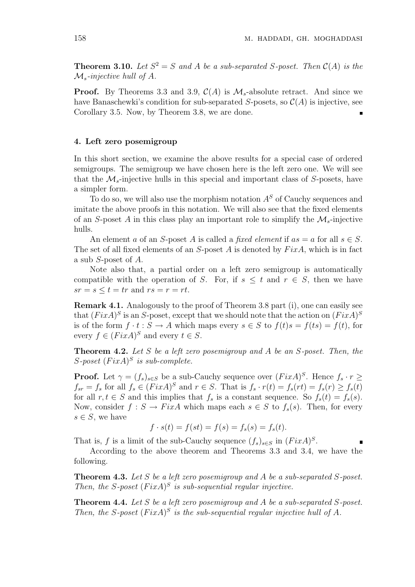**Theorem 3.10.** Let  $S^2 = S$  and A be a sub-separated S-poset. Then  $C(A)$  is the  $\mathcal{M}_s$ -injective hull of A.

**Proof.** By Theorems 3.3 and 3.9,  $C(A)$  is  $M_s$ -absolute retract. And since we have Banaschewki's condition for sub-separated S-posets, so  $\mathcal{C}(A)$  is injective, see Corollary 3.5. Now, by Theorem 3.8, we are done.

# 4. Left zero posemigroup

In this short section, we examine the above results for a special case of ordered semigroups. The semigroup we have chosen here is the left zero one. We will see that the  $\mathcal{M}_s$ -injective hulls in this special and important class of S-posets, have a simpler form.

To do so, we will also use the morphism notation  $A<sup>S</sup>$  of Cauchy sequences and imitate the above proofs in this notation. We will also see that the fixed elements of an S-poset A in this class play an important role to simplify the  $\mathcal{M}_s$ -injective hulls.

An element a of an S-poset A is called a fixed element if  $as = a$  for all  $s \in S$ . The set of all fixed elements of an  $S$ -poset A is denoted by  $Fix A$ , which is in fact a sub S-poset of A.

Note also that, a partial order on a left zero semigroup is automatically compatible with the operation of S. For, if  $s \leq t$  and  $r \in S$ , then we have  $sr = s \le t = tr$  and  $rs = r = rt$ .

Remark 4.1. Analogously to the proof of Theorem 3.8 part (i), one can easily see that  $(FixA)^S$  is an S-poset, except that we should note that the action on  $(FixA)^S$ is of the form  $f \cdot t : S \to A$  which maps every  $s \in S$  to  $f(t)s = f(ts) = f(t)$ , for every  $f \in (Fix A)^S$  and every  $t \in S$ .

**Theorem 4.2.** Let S be a left zero posemigroup and A be an  $S$ -poset. Then, the S-poset  $(FixA)^S$  is sub-complete.

**Proof.** Let  $\gamma = (f_s)_{s \in S}$  be a sub-Cauchy sequence over  $(FixA)^S$ . Hence  $f_s \cdot r \geq$  $f_{sr} = f_s$  for all  $f_s \in (Fix A)^S$  and  $r \in S$ . That is  $f_s \cdot r(t) = f_s(rt) = f_s(r) \ge f_s(t)$ for all  $r, t \in S$  and this implies that  $f_s$  is a constant sequence. So  $f_s(t) = f_s(s)$ . Now, consider  $f : S \to FixA$  which maps each  $s \in S$  to  $f_s(s)$ . Then, for every  $s \in S$ , we have

$$
f \cdot s(t) = f(st) = f(s) = f_s(s) = f_s(t).
$$

That is, f is a limit of the sub-Cauchy sequence  $(f_s)_{s \in S}$  in  $(FixA)^S$ .

According to the above theorem and Theorems 3.3 and 3.4, we have the following.

**Theorem 4.3.** Let S be a left zero posemigroup and A be a sub-separated S-poset. Then, the S-poset  $(FixA)^S$  is sub-sequential regular injective.

Theorem 4.4. Let S be a left zero posemigroup and A be a sub-separated S-poset. Then, the S-poset  $(FixA)^S$  is the sub-sequential regular injective hull of A.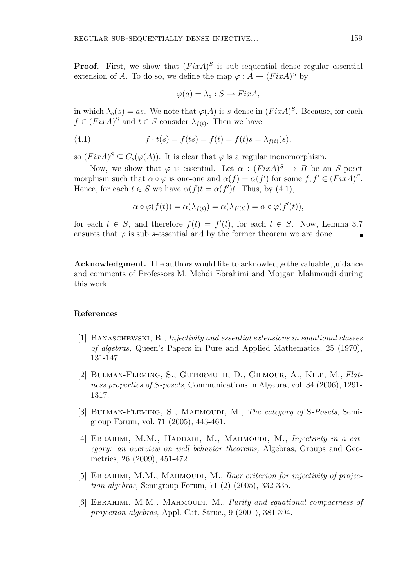**Proof.** First, we show that  $(FixA)^S$  is sub-sequential dense regular essential extension of A. To do so, we define the map  $\varphi: A \to (Fix A)^S$  by

$$
\varphi(a) = \lambda_a : S \to FixA,
$$

in which  $\lambda_a(s) = as$ . We note that  $\varphi(A)$  is s-dense in  $(FixA)^S$ . Because, for each  $f \in (Fix A)^S$  and  $t \in S$  consider  $\lambda_{f(t)}$ . Then we have

(4.1) 
$$
f \cdot t(s) = f(ts) = f(t) = f(t)s = \lambda_{f(t)}(s),
$$

so  $(FixA)^S \subseteq C_s(\varphi(A))$ . It is clear that  $\varphi$  is a regular monomorphism.

Now, we show that  $\varphi$  is essential. Let  $\alpha : (Fix A)^S \to B$  be an S-poset morphism such that  $\alpha \circ \varphi$  is one-one and  $\alpha(f) = \alpha(f')$  for some  $f, f' \in (Fix A)^S$ . Hence, for each  $t \in S$  we have  $\alpha(f)t = \alpha(f')t$ . Thus, by (4.1),

$$
\alpha \circ \varphi(f(t)) = \alpha(\lambda_{f(t)}) = \alpha(\lambda_{f'(t)}) = \alpha \circ \varphi(f'(t)),
$$

for each  $t \in S$ , and therefore  $f(t) = f'(t)$ , for each  $t \in S$ . Now, Lemma 3.7 ensures that  $\varphi$  is sub s-essential and by the former theorem we are done.

Acknowledgment. The authors would like to acknowledge the valuable guidance and comments of Professors M. Mehdi Ebrahimi and Mojgan Mahmoudi during this work.

# References

- [1] Banaschewski, B., Injectivity and essential extensions in equational classes of algebras, Queen's Papers in Pure and Applied Mathematics, 25 (1970), 131-147.
- [2] Bulman-Fleming, S., Gutermuth, D., Gilmour, A., Kilp, M., Flatness properties of S-posets, Communications in Algebra, vol. 34 (2006), 1291- 1317.
- [3] BULMAN-FLEMING, S., MAHMOUDI, M., The category of S-Posets, Semigroup Forum, vol. 71 (2005), 443-461.
- [4] EBRAHIMI, M.M., HADDADI, M., MAHMOUDI, M., *Injectivity in a cat*egory: an overview on well behavior theorems, Algebras, Groups and Geometries, 26 (2009), 451-472.
- [5] EBRAHIMI, M.M., MAHMOUDI, M., Baer criterion for injectivity of projection algebras, Semigroup Forum, 71 (2) (2005), 332-335.
- [6] EBRAHIMI, M.M., MAHMOUDI, M., *Purity and equational compactness of* projection algebras, Appl. Cat. Struc., 9 (2001), 381-394.